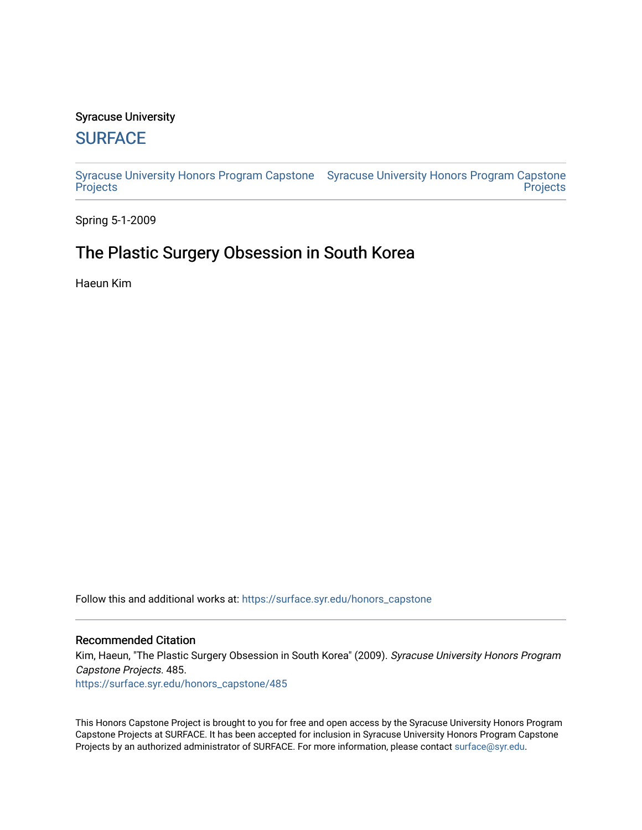#### Syracuse University

## **[SURFACE](https://surface.syr.edu/)**

[Syracuse University Honors Program Capstone](https://surface.syr.edu/honors_capstone)  [Syracuse University Honors Program Capstone](https://surface.syr.edu/honors_capstones)  **[Projects](https://surface.syr.edu/honors_capstone) Projects** 

Spring 5-1-2009

## The Plastic Surgery Obsession in South Korea

Haeun Kim

Follow this and additional works at: [https://surface.syr.edu/honors\\_capstone](https://surface.syr.edu/honors_capstone?utm_source=surface.syr.edu%2Fhonors_capstone%2F485&utm_medium=PDF&utm_campaign=PDFCoverPages) 

#### Recommended Citation

Kim, Haeun, "The Plastic Surgery Obsession in South Korea" (2009). Syracuse University Honors Program Capstone Projects. 485.

[https://surface.syr.edu/honors\\_capstone/485](https://surface.syr.edu/honors_capstone/485?utm_source=surface.syr.edu%2Fhonors_capstone%2F485&utm_medium=PDF&utm_campaign=PDFCoverPages) 

This Honors Capstone Project is brought to you for free and open access by the Syracuse University Honors Program Capstone Projects at SURFACE. It has been accepted for inclusion in Syracuse University Honors Program Capstone Projects by an authorized administrator of SURFACE. For more information, please contact [surface@syr.edu.](mailto:surface@syr.edu)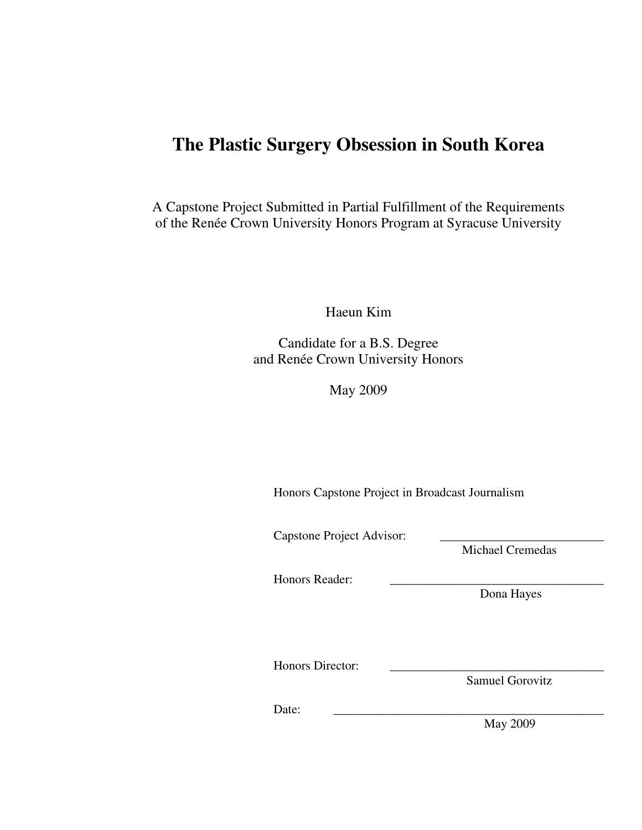# **The Plastic Surgery Obsession in South Korea**

A Capstone Project Submitted in Partial Fulfillment of the Requirements of the Renée Crown University Honors Program at Syracuse University

Haeun Kim

Candidate for a B.S. Degree and Renée Crown University Honors

May 2009

Honors Capstone Project in Broadcast Journalism

Capstone Project Advisor:

Michael Cremedas

Honors Reader:

Dona Hayes

Honors Director:

Samuel Gorovitz

Date: \_\_\_\_\_\_\_\_\_\_\_\_\_\_\_\_\_\_\_\_\_\_\_\_\_\_\_\_\_\_\_\_\_\_\_\_\_\_\_\_\_\_\_

May 2009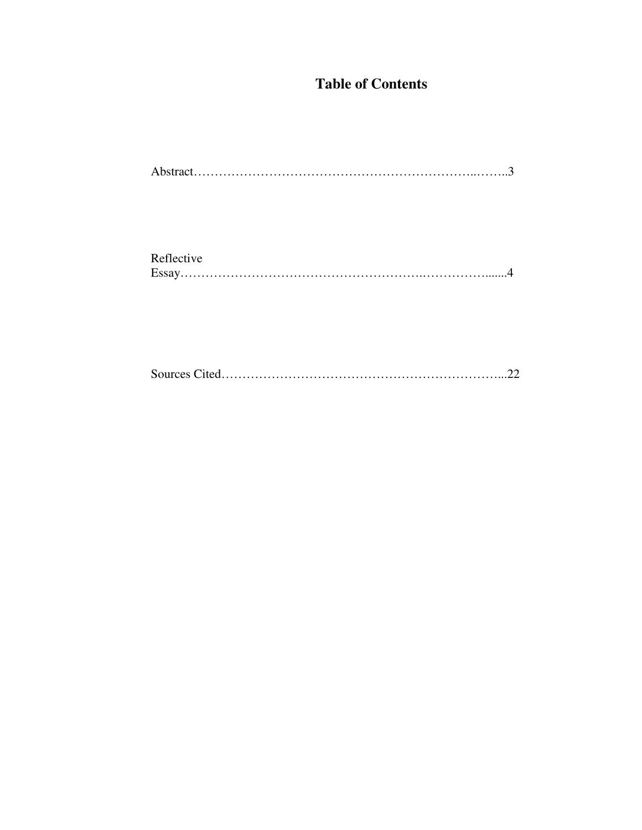## **Table of Contents**

| Reflective |  |
|------------|--|
|            |  |

Sources Cited…………………………………………………………...22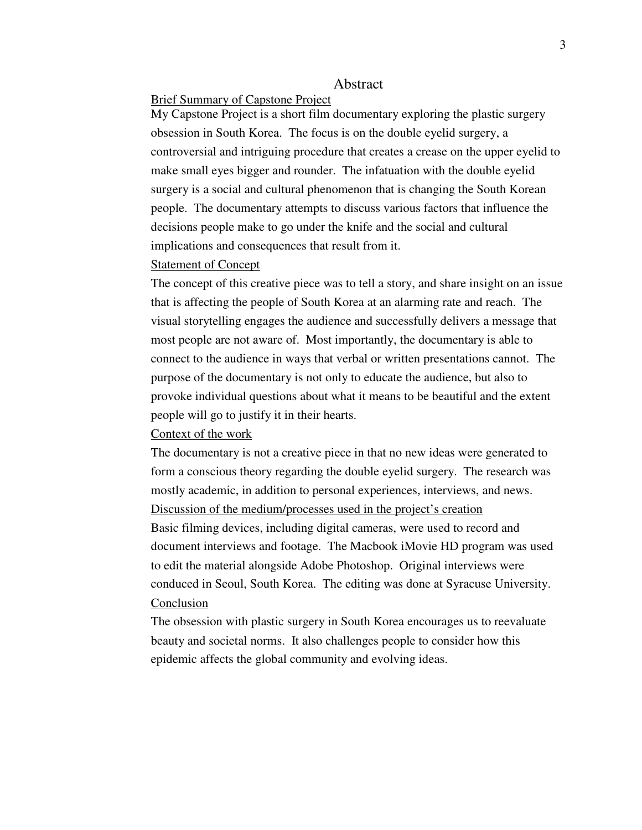#### Abstract

### Brief Summary of Capstone Project

My Capstone Project is a short film documentary exploring the plastic surgery obsession in South Korea. The focus is on the double eyelid surgery, a controversial and intriguing procedure that creates a crease on the upper eyelid to make small eyes bigger and rounder. The infatuation with the double eyelid surgery is a social and cultural phenomenon that is changing the South Korean people. The documentary attempts to discuss various factors that influence the decisions people make to go under the knife and the social and cultural implications and consequences that result from it.

#### Statement of Concept

The concept of this creative piece was to tell a story, and share insight on an issue that is affecting the people of South Korea at an alarming rate and reach. The visual storytelling engages the audience and successfully delivers a message that most people are not aware of. Most importantly, the documentary is able to connect to the audience in ways that verbal or written presentations cannot. The purpose of the documentary is not only to educate the audience, but also to provoke individual questions about what it means to be beautiful and the extent people will go to justify it in their hearts.

#### Context of the work

The documentary is not a creative piece in that no new ideas were generated to form a conscious theory regarding the double eyelid surgery. The research was mostly academic, in addition to personal experiences, interviews, and news. Discussion of the medium/processes used in the project's creation Basic filming devices, including digital cameras, were used to record and document interviews and footage. The Macbook iMovie HD program was used to edit the material alongside Adobe Photoshop. Original interviews were conduced in Seoul, South Korea. The editing was done at Syracuse University. Conclusion

The obsession with plastic surgery in South Korea encourages us to reevaluate beauty and societal norms. It also challenges people to consider how this epidemic affects the global community and evolving ideas.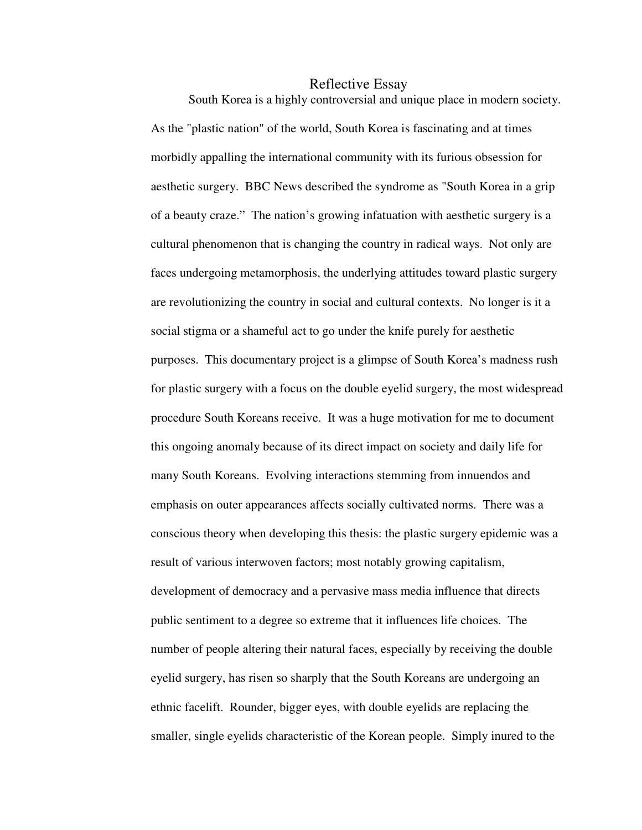#### Reflective Essay

South Korea is a highly controversial and unique place in modern society. As the "plastic nation" of the world, South Korea is fascinating and at times morbidly appalling the international community with its furious obsession for aesthetic surgery. BBC News described the syndrome as "South Korea in a grip of a beauty craze." The nation's growing infatuation with aesthetic surgery is a cultural phenomenon that is changing the country in radical ways. Not only are faces undergoing metamorphosis, the underlying attitudes toward plastic surgery are revolutionizing the country in social and cultural contexts. No longer is it a social stigma or a shameful act to go under the knife purely for aesthetic purposes. This documentary project is a glimpse of South Korea's madness rush for plastic surgery with a focus on the double eyelid surgery, the most widespread procedure South Koreans receive. It was a huge motivation for me to document this ongoing anomaly because of its direct impact on society and daily life for many South Koreans. Evolving interactions stemming from innuendos and emphasis on outer appearances affects socially cultivated norms. There was a conscious theory when developing this thesis: the plastic surgery epidemic was a result of various interwoven factors; most notably growing capitalism, development of democracy and a pervasive mass media influence that directs public sentiment to a degree so extreme that it influences life choices. The number of people altering their natural faces, especially by receiving the double eyelid surgery, has risen so sharply that the South Koreans are undergoing an ethnic facelift. Rounder, bigger eyes, with double eyelids are replacing the smaller, single eyelids characteristic of the Korean people. Simply inured to the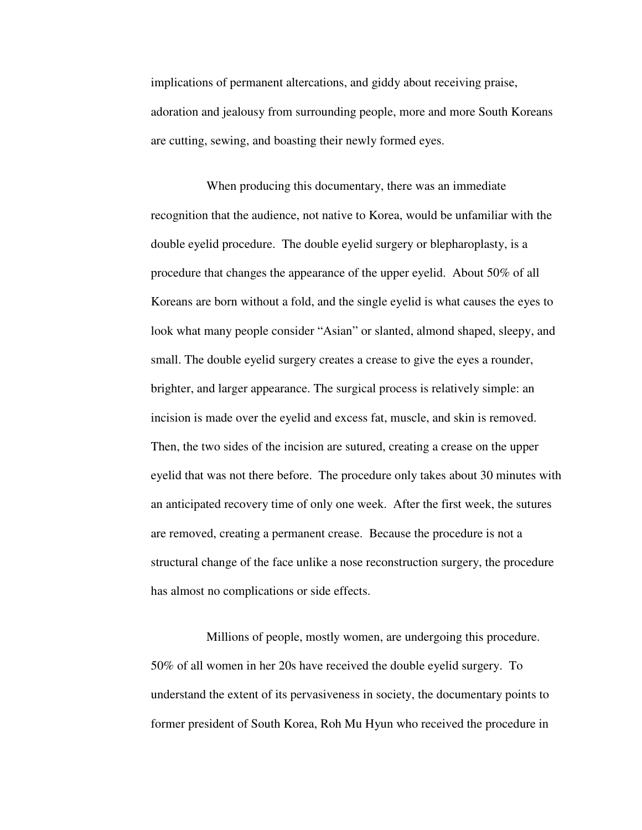implications of permanent altercations, and giddy about receiving praise, adoration and jealousy from surrounding people, more and more South Koreans are cutting, sewing, and boasting their newly formed eyes.

When producing this documentary, there was an immediate recognition that the audience, not native to Korea, would be unfamiliar with the double eyelid procedure. The double eyelid surgery or blepharoplasty, is a procedure that changes the appearance of the upper eyelid. About 50% of all Koreans are born without a fold, and the single eyelid is what causes the eyes to look what many people consider "Asian" or slanted, almond shaped, sleepy, and small. The double eyelid surgery creates a crease to give the eyes a rounder, brighter, and larger appearance. The surgical process is relatively simple: an incision is made over the eyelid and excess fat, muscle, and skin is removed. Then, the two sides of the incision are sutured, creating a crease on the upper eyelid that was not there before. The procedure only takes about 30 minutes with an anticipated recovery time of only one week. After the first week, the sutures are removed, creating a permanent crease. Because the procedure is not a structural change of the face unlike a nose reconstruction surgery, the procedure has almost no complications or side effects.

Millions of people, mostly women, are undergoing this procedure. 50% of all women in her 20s have received the double eyelid surgery. To understand the extent of its pervasiveness in society, the documentary points to former president of South Korea, Roh Mu Hyun who received the procedure in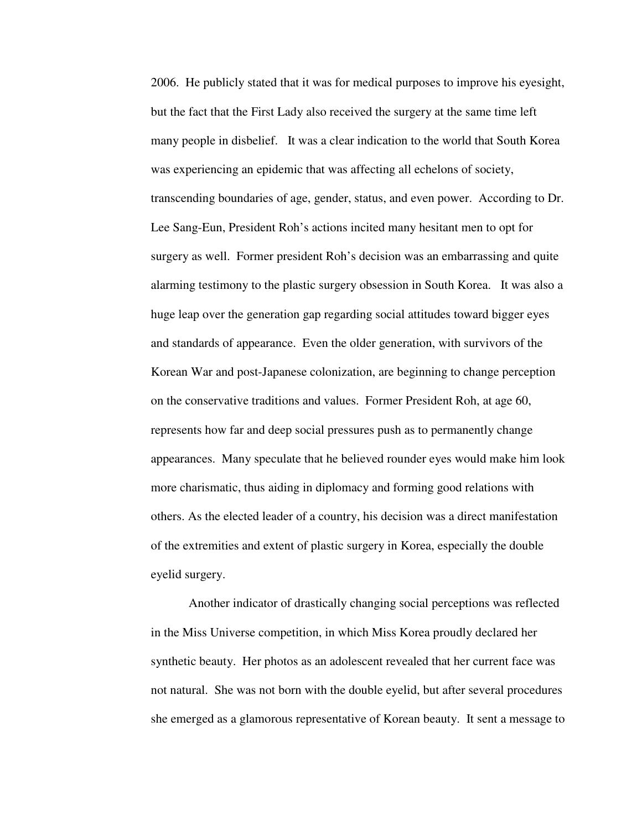2006. He publicly stated that it was for medical purposes to improve his eyesight, but the fact that the First Lady also received the surgery at the same time left many people in disbelief. It was a clear indication to the world that South Korea was experiencing an epidemic that was affecting all echelons of society, transcending boundaries of age, gender, status, and even power. According to Dr. Lee Sang-Eun, President Roh's actions incited many hesitant men to opt for surgery as well. Former president Roh's decision was an embarrassing and quite alarming testimony to the plastic surgery obsession in South Korea. It was also a huge leap over the generation gap regarding social attitudes toward bigger eyes and standards of appearance. Even the older generation, with survivors of the Korean War and post-Japanese colonization, are beginning to change perception on the conservative traditions and values. Former President Roh, at age 60, represents how far and deep social pressures push as to permanently change appearances. Many speculate that he believed rounder eyes would make him look more charismatic, thus aiding in diplomacy and forming good relations with others. As the elected leader of a country, his decision was a direct manifestation of the extremities and extent of plastic surgery in Korea, especially the double eyelid surgery.

 Another indicator of drastically changing social perceptions was reflected in the Miss Universe competition, in which Miss Korea proudly declared her synthetic beauty. Her photos as an adolescent revealed that her current face was not natural. She was not born with the double eyelid, but after several procedures she emerged as a glamorous representative of Korean beauty. It sent a message to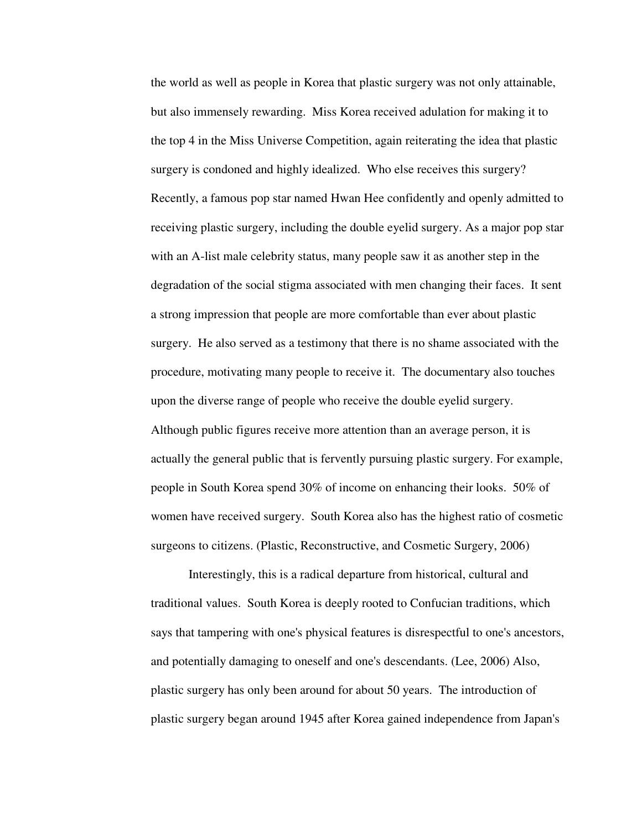the world as well as people in Korea that plastic surgery was not only attainable, but also immensely rewarding. Miss Korea received adulation for making it to the top 4 in the Miss Universe Competition, again reiterating the idea that plastic surgery is condoned and highly idealized. Who else receives this surgery? Recently, a famous pop star named Hwan Hee confidently and openly admitted to receiving plastic surgery, including the double eyelid surgery. As a major pop star with an A-list male celebrity status, many people saw it as another step in the degradation of the social stigma associated with men changing their faces. It sent a strong impression that people are more comfortable than ever about plastic surgery. He also served as a testimony that there is no shame associated with the procedure, motivating many people to receive it. The documentary also touches upon the diverse range of people who receive the double eyelid surgery. Although public figures receive more attention than an average person, it is actually the general public that is fervently pursuing plastic surgery. For example, people in South Korea spend 30% of income on enhancing their looks. 50% of women have received surgery. South Korea also has the highest ratio of cosmetic surgeons to citizens. (Plastic, Reconstructive, and Cosmetic Surgery, 2006)

 Interestingly, this is a radical departure from historical, cultural and traditional values. South Korea is deeply rooted to Confucian traditions, which says that tampering with one's physical features is disrespectful to one's ancestors, and potentially damaging to oneself and one's descendants. (Lee, 2006) Also, plastic surgery has only been around for about 50 years. The introduction of plastic surgery began around 1945 after Korea gained independence from Japan's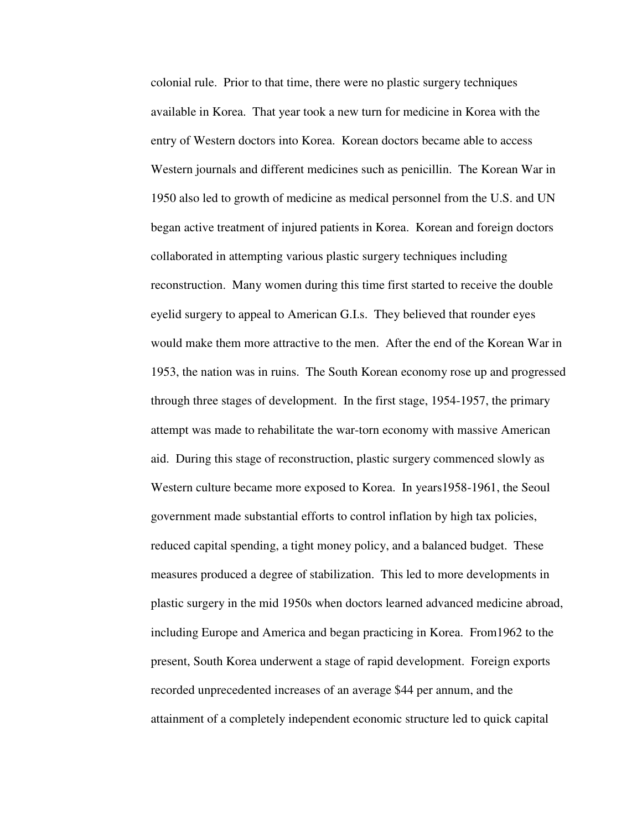colonial rule. Prior to that time, there were no plastic surgery techniques available in Korea. That year took a new turn for medicine in Korea with the entry of Western doctors into Korea. Korean doctors became able to access Western journals and different medicines such as penicillin. The Korean War in 1950 also led to growth of medicine as medical personnel from the U.S. and UN began active treatment of injured patients in Korea. Korean and foreign doctors collaborated in attempting various plastic surgery techniques including reconstruction. Many women during this time first started to receive the double eyelid surgery to appeal to American G.I.s. They believed that rounder eyes would make them more attractive to the men. After the end of the Korean War in 1953, the nation was in ruins. The South Korean economy rose up and progressed through three stages of development. In the first stage, 1954-1957, the primary attempt was made to rehabilitate the war-torn economy with massive American aid. During this stage of reconstruction, plastic surgery commenced slowly as Western culture became more exposed to Korea. In years1958-1961, the Seoul government made substantial efforts to control inflation by high tax policies, reduced capital spending, a tight money policy, and a balanced budget. These measures produced a degree of stabilization. This led to more developments in plastic surgery in the mid 1950s when doctors learned advanced medicine abroad, including Europe and America and began practicing in Korea. From1962 to the present, South Korea underwent a stage of rapid development. Foreign exports recorded unprecedented increases of an average \$44 per annum, and the attainment of a completely independent economic structure led to quick capital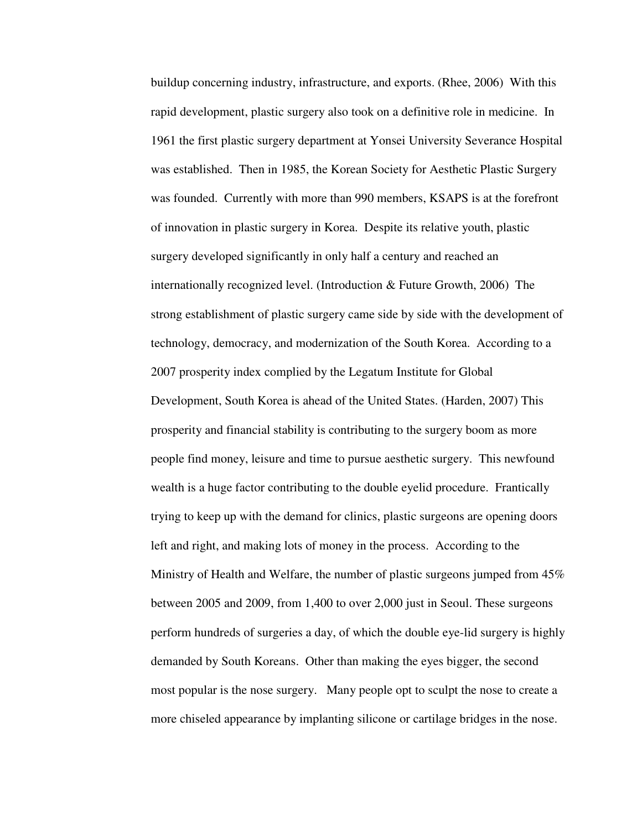buildup concerning industry, infrastructure, and exports. (Rhee, 2006) With this rapid development, plastic surgery also took on a definitive role in medicine. In 1961 the first plastic surgery department at Yonsei University Severance Hospital was established. Then in 1985, the Korean Society for Aesthetic Plastic Surgery was founded. Currently with more than 990 members, KSAPS is at the forefront of innovation in plastic surgery in Korea. Despite its relative youth, plastic surgery developed significantly in only half a century and reached an internationally recognized level. (Introduction & Future Growth, 2006) The strong establishment of plastic surgery came side by side with the development of technology, democracy, and modernization of the South Korea. According to a 2007 prosperity index complied by the Legatum Institute for Global Development, South Korea is ahead of the United States. (Harden, 2007) This prosperity and financial stability is contributing to the surgery boom as more people find money, leisure and time to pursue aesthetic surgery. This newfound wealth is a huge factor contributing to the double eyelid procedure. Frantically trying to keep up with the demand for clinics, plastic surgeons are opening doors left and right, and making lots of money in the process. According to the Ministry of Health and Welfare, the number of plastic surgeons jumped from 45% between 2005 and 2009, from 1,400 to over 2,000 just in Seoul. These surgeons perform hundreds of surgeries a day, of which the double eye-lid surgery is highly demanded by South Koreans. Other than making the eyes bigger, the second most popular is the nose surgery. Many people opt to sculpt the nose to create a more chiseled appearance by implanting silicone or cartilage bridges in the nose.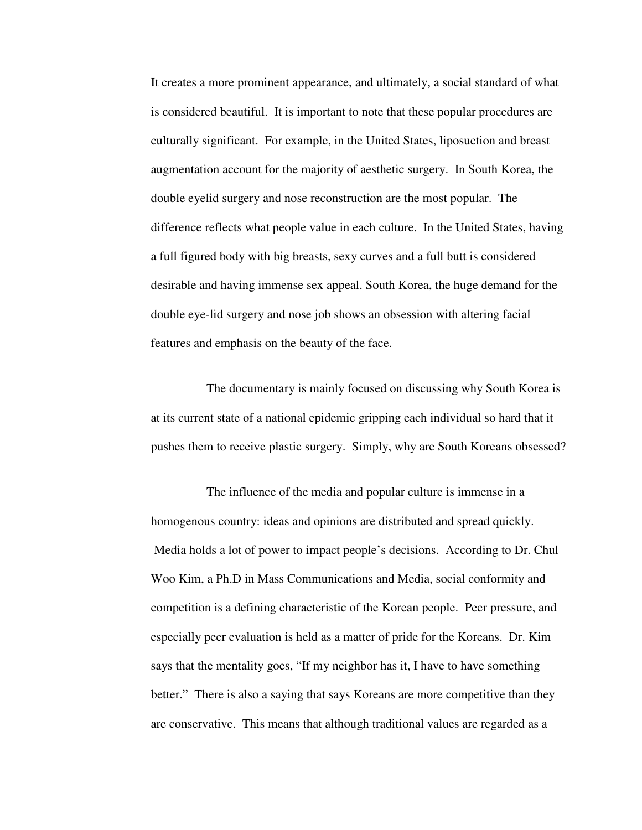It creates a more prominent appearance, and ultimately, a social standard of what is considered beautiful. It is important to note that these popular procedures are culturally significant. For example, in the United States, liposuction and breast augmentation account for the majority of aesthetic surgery. In South Korea, the double eyelid surgery and nose reconstruction are the most popular. The difference reflects what people value in each culture. In the United States, having a full figured body with big breasts, sexy curves and a full butt is considered desirable and having immense sex appeal. South Korea, the huge demand for the double eye-lid surgery and nose job shows an obsession with altering facial features and emphasis on the beauty of the face.

The documentary is mainly focused on discussing why South Korea is at its current state of a national epidemic gripping each individual so hard that it pushes them to receive plastic surgery. Simply, why are South Koreans obsessed?

The influence of the media and popular culture is immense in a homogenous country: ideas and opinions are distributed and spread quickly. Media holds a lot of power to impact people's decisions. According to Dr. Chul Woo Kim, a Ph.D in Mass Communications and Media, social conformity and competition is a defining characteristic of the Korean people. Peer pressure, and especially peer evaluation is held as a matter of pride for the Koreans. Dr. Kim says that the mentality goes, "If my neighbor has it, I have to have something better." There is also a saying that says Koreans are more competitive than they are conservative. This means that although traditional values are regarded as a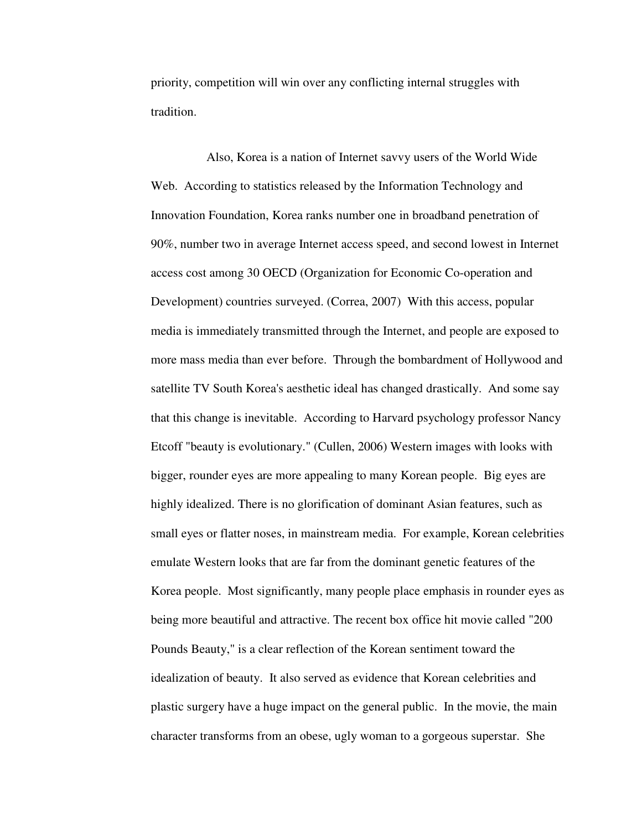priority, competition will win over any conflicting internal struggles with tradition.

Also, Korea is a nation of Internet savvy users of the World Wide Web. According to statistics released by the Information Technology and Innovation Foundation, Korea ranks number one in broadband penetration of 90%, number two in average Internet access speed, and second lowest in Internet access cost among 30 OECD (Organization for Economic Co-operation and Development) countries surveyed. (Correa, 2007) With this access, popular media is immediately transmitted through the Internet, and people are exposed to more mass media than ever before. Through the bombardment of Hollywood and satellite TV South Korea's aesthetic ideal has changed drastically. And some say that this change is inevitable. According to Harvard psychology professor Nancy Etcoff "beauty is evolutionary." (Cullen, 2006) Western images with looks with bigger, rounder eyes are more appealing to many Korean people. Big eyes are highly idealized. There is no glorification of dominant Asian features, such as small eyes or flatter noses, in mainstream media. For example, Korean celebrities emulate Western looks that are far from the dominant genetic features of the Korea people. Most significantly, many people place emphasis in rounder eyes as being more beautiful and attractive. The recent box office hit movie called "200 Pounds Beauty," is a clear reflection of the Korean sentiment toward the idealization of beauty. It also served as evidence that Korean celebrities and plastic surgery have a huge impact on the general public. In the movie, the main character transforms from an obese, ugly woman to a gorgeous superstar. She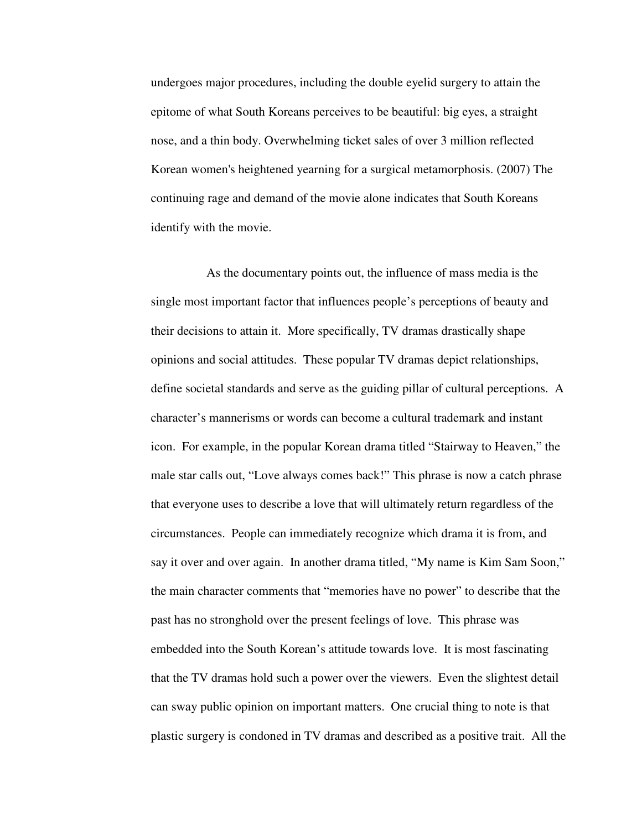undergoes major procedures, including the double eyelid surgery to attain the epitome of what South Koreans perceives to be beautiful: big eyes, a straight nose, and a thin body. Overwhelming ticket sales of over 3 million reflected Korean women's heightened yearning for a surgical metamorphosis. (2007) The continuing rage and demand of the movie alone indicates that South Koreans identify with the movie.

As the documentary points out, the influence of mass media is the single most important factor that influences people's perceptions of beauty and their decisions to attain it. More specifically, TV dramas drastically shape opinions and social attitudes. These popular TV dramas depict relationships, define societal standards and serve as the guiding pillar of cultural perceptions. A character's mannerisms or words can become a cultural trademark and instant icon. For example, in the popular Korean drama titled "Stairway to Heaven," the male star calls out, "Love always comes back!" This phrase is now a catch phrase that everyone uses to describe a love that will ultimately return regardless of the circumstances. People can immediately recognize which drama it is from, and say it over and over again. In another drama titled, "My name is Kim Sam Soon," the main character comments that "memories have no power" to describe that the past has no stronghold over the present feelings of love. This phrase was embedded into the South Korean's attitude towards love. It is most fascinating that the TV dramas hold such a power over the viewers. Even the slightest detail can sway public opinion on important matters. One crucial thing to note is that plastic surgery is condoned in TV dramas and described as a positive trait. All the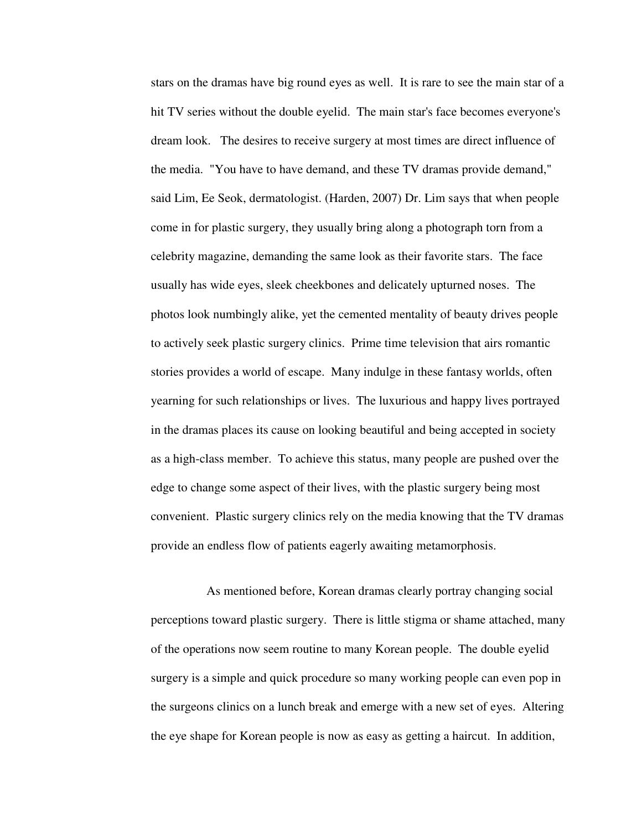stars on the dramas have big round eyes as well. It is rare to see the main star of a hit TV series without the double eyelid. The main star's face becomes everyone's dream look. The desires to receive surgery at most times are direct influence of the media. "You have to have demand, and these TV dramas provide demand," said Lim, Ee Seok, dermatologist. (Harden, 2007) Dr. Lim says that when people come in for plastic surgery, they usually bring along a photograph torn from a celebrity magazine, demanding the same look as their favorite stars. The face usually has wide eyes, sleek cheekbones and delicately upturned noses. The photos look numbingly alike, yet the cemented mentality of beauty drives people to actively seek plastic surgery clinics. Prime time television that airs romantic stories provides a world of escape. Many indulge in these fantasy worlds, often yearning for such relationships or lives. The luxurious and happy lives portrayed in the dramas places its cause on looking beautiful and being accepted in society as a high-class member. To achieve this status, many people are pushed over the edge to change some aspect of their lives, with the plastic surgery being most convenient. Plastic surgery clinics rely on the media knowing that the TV dramas provide an endless flow of patients eagerly awaiting metamorphosis.

As mentioned before, Korean dramas clearly portray changing social perceptions toward plastic surgery. There is little stigma or shame attached, many of the operations now seem routine to many Korean people. The double eyelid surgery is a simple and quick procedure so many working people can even pop in the surgeons clinics on a lunch break and emerge with a new set of eyes. Altering the eye shape for Korean people is now as easy as getting a haircut. In addition,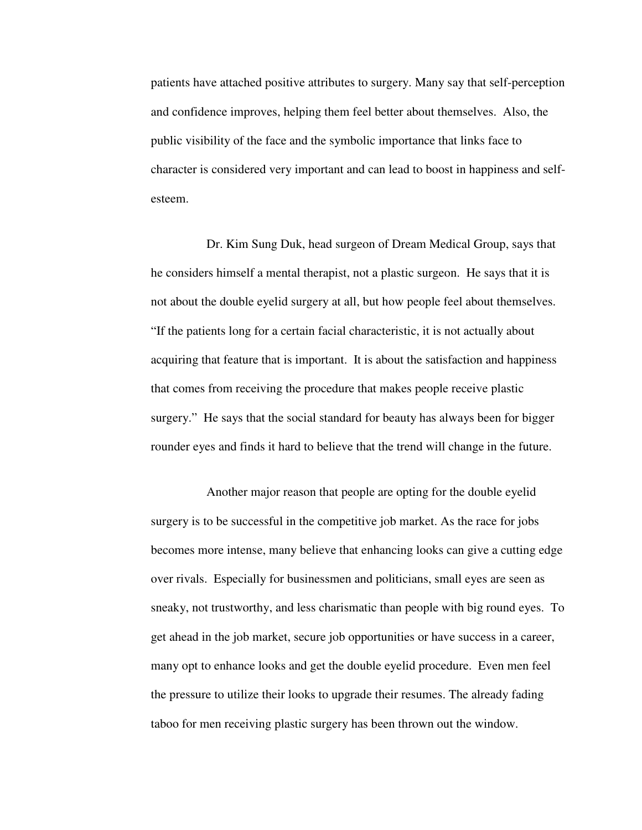patients have attached positive attributes to surgery. Many say that self-perception and confidence improves, helping them feel better about themselves. Also, the public visibility of the face and the symbolic importance that links face to character is considered very important and can lead to boost in happiness and selfesteem.

Dr. Kim Sung Duk, head surgeon of Dream Medical Group, says that he considers himself a mental therapist, not a plastic surgeon. He says that it is not about the double eyelid surgery at all, but how people feel about themselves. "If the patients long for a certain facial characteristic, it is not actually about acquiring that feature that is important. It is about the satisfaction and happiness that comes from receiving the procedure that makes people receive plastic surgery." He says that the social standard for beauty has always been for bigger rounder eyes and finds it hard to believe that the trend will change in the future.

Another major reason that people are opting for the double eyelid surgery is to be successful in the competitive job market. As the race for jobs becomes more intense, many believe that enhancing looks can give a cutting edge over rivals. Especially for businessmen and politicians, small eyes are seen as sneaky, not trustworthy, and less charismatic than people with big round eyes. To get ahead in the job market, secure job opportunities or have success in a career, many opt to enhance looks and get the double eyelid procedure. Even men feel the pressure to utilize their looks to upgrade their resumes. The already fading taboo for men receiving plastic surgery has been thrown out the window.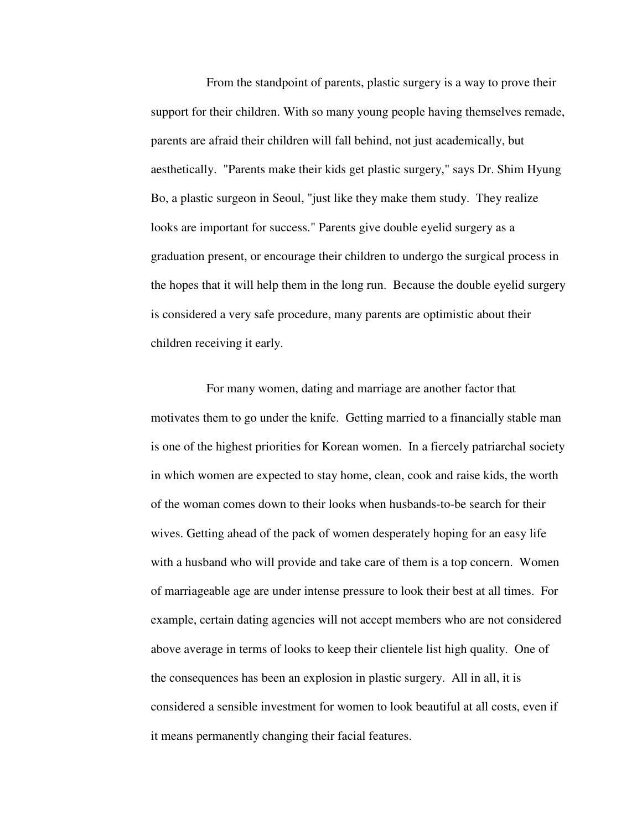From the standpoint of parents, plastic surgery is a way to prove their support for their children. With so many young people having themselves remade, parents are afraid their children will fall behind, not just academically, but aesthetically. "Parents make their kids get plastic surgery," says Dr. Shim Hyung Bo, a plastic surgeon in Seoul, "just like they make them study. They realize looks are important for success." Parents give double eyelid surgery as a graduation present, or encourage their children to undergo the surgical process in the hopes that it will help them in the long run. Because the double eyelid surgery is considered a very safe procedure, many parents are optimistic about their children receiving it early.

For many women, dating and marriage are another factor that motivates them to go under the knife. Getting married to a financially stable man is one of the highest priorities for Korean women. In a fiercely patriarchal society in which women are expected to stay home, clean, cook and raise kids, the worth of the woman comes down to their looks when husbands-to-be search for their wives. Getting ahead of the pack of women desperately hoping for an easy life with a husband who will provide and take care of them is a top concern. Women of marriageable age are under intense pressure to look their best at all times. For example, certain dating agencies will not accept members who are not considered above average in terms of looks to keep their clientele list high quality. One of the consequences has been an explosion in plastic surgery. All in all, it is considered a sensible investment for women to look beautiful at all costs, even if it means permanently changing their facial features.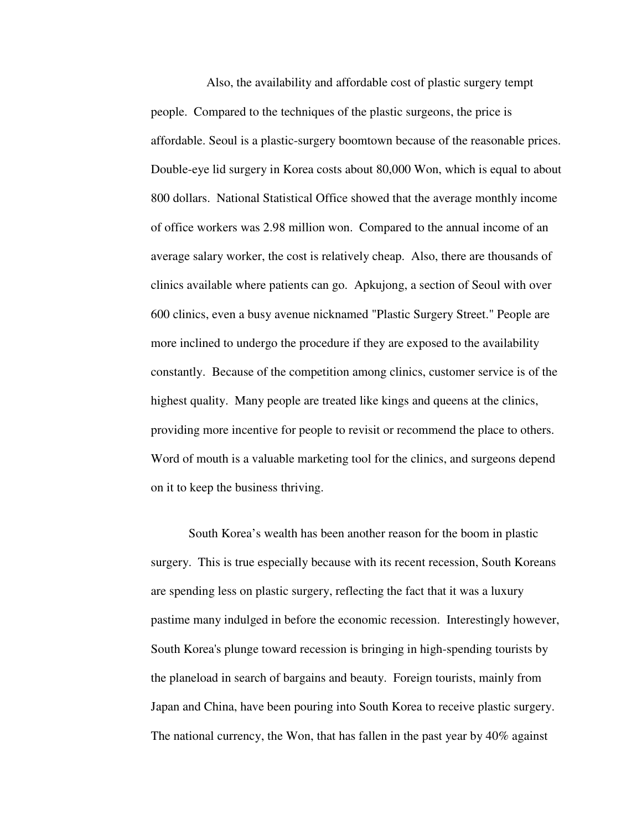Also, the availability and affordable cost of plastic surgery tempt people. Compared to the techniques of the plastic surgeons, the price is affordable. Seoul is a plastic-surgery boomtown because of the reasonable prices. Double-eye lid surgery in Korea costs about 80,000 Won, which is equal to about 800 dollars. National Statistical Office showed that the average monthly income of office workers was 2.98 million won. Compared to the annual income of an average salary worker, the cost is relatively cheap. Also, there are thousands of clinics available where patients can go. Apkujong, a section of Seoul with over 600 clinics, even a busy avenue nicknamed "Plastic Surgery Street." People are more inclined to undergo the procedure if they are exposed to the availability constantly. Because of the competition among clinics, customer service is of the highest quality. Many people are treated like kings and queens at the clinics, providing more incentive for people to revisit or recommend the place to others. Word of mouth is a valuable marketing tool for the clinics, and surgeons depend on it to keep the business thriving.

 South Korea's wealth has been another reason for the boom in plastic surgery. This is true especially because with its recent recession, South Koreans are spending less on plastic surgery, reflecting the fact that it was a luxury pastime many indulged in before the economic recession. Interestingly however, South Korea's plunge toward recession is bringing in high-spending tourists by the planeload in search of bargains and beauty. Foreign tourists, mainly from Japan and China, have been pouring into South Korea to receive plastic surgery. The national currency, the Won, that has fallen in the past year by 40% against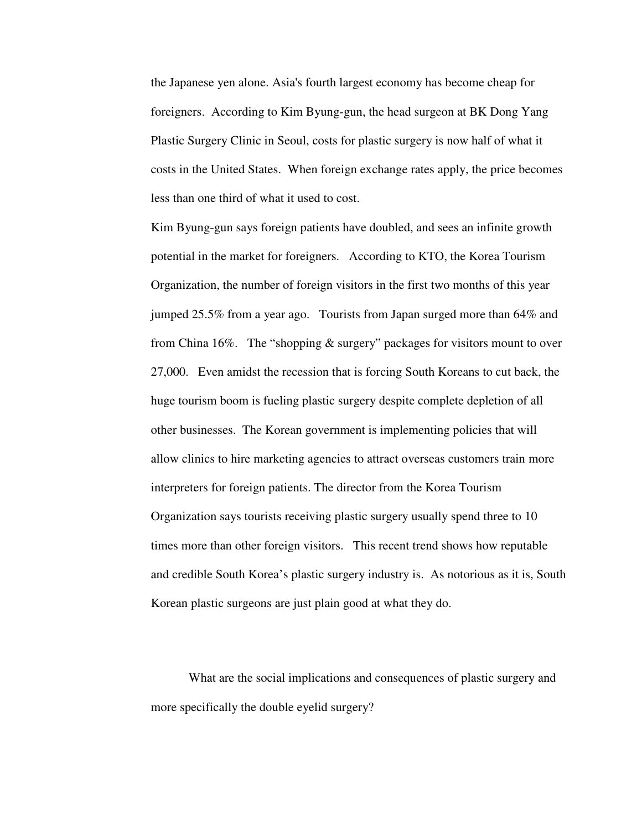the Japanese yen alone. Asia's fourth largest economy has become cheap for foreigners. According to Kim Byung-gun, the head surgeon at BK Dong Yang Plastic Surgery Clinic in Seoul, costs for plastic surgery is now half of what it costs in the United States. When foreign exchange rates apply, the price becomes less than one third of what it used to cost.

Kim Byung-gun says foreign patients have doubled, and sees an infinite growth potential in the market for foreigners. According to KTO, the Korea Tourism Organization, the number of foreign visitors in the first two months of this year jumped 25.5% from a year ago. Tourists from Japan surged more than 64% and from China 16%. The "shopping & surgery" packages for visitors mount to over 27,000. Even amidst the recession that is forcing South Koreans to cut back, the huge tourism boom is fueling plastic surgery despite complete depletion of all other businesses. The Korean government is implementing policies that will allow clinics to hire marketing agencies to attract overseas customers train more interpreters for foreign patients. The director from the Korea Tourism Organization says tourists receiving plastic surgery usually spend three to 10 times more than other foreign visitors. This recent trend shows how reputable and credible South Korea's plastic surgery industry is. As notorious as it is, South Korean plastic surgeons are just plain good at what they do.

What are the social implications and consequences of plastic surgery and more specifically the double eyelid surgery?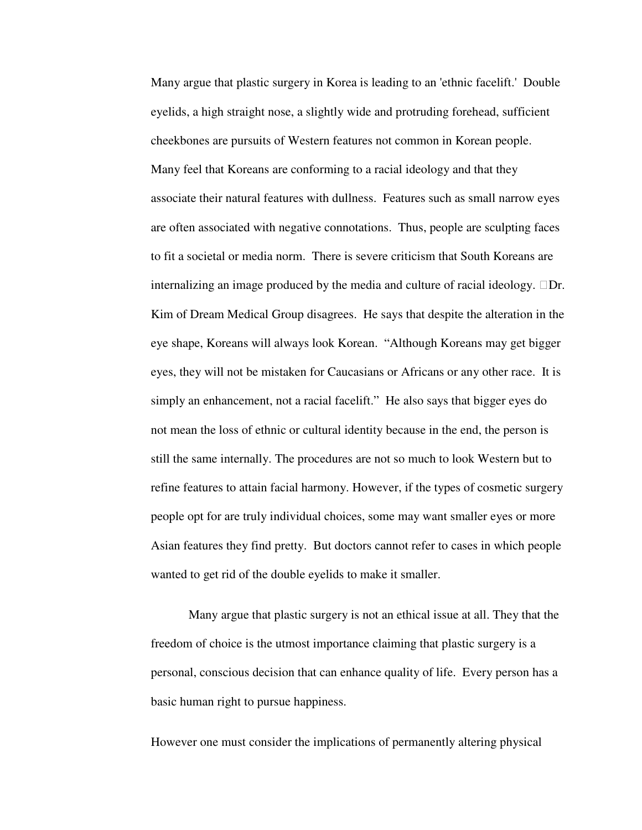Many argue that plastic surgery in Korea is leading to an 'ethnic facelift.' Double eyelids, a high straight nose, a slightly wide and protruding forehead, sufficient cheekbones are pursuits of Western features not common in Korean people. Many feel that Koreans are conforming to a racial ideology and that they associate their natural features with dullness. Features such as small narrow eyes are often associated with negative connotations. Thus, people are sculpting faces to fit a societal or media norm. There is severe criticism that South Koreans are internalizing an image produced by the media and culture of racial ideology. Dr. Kim of Dream Medical Group disagrees. He says that despite the alteration in the eye shape, Koreans will always look Korean. "Although Koreans may get bigger eyes, they will not be mistaken for Caucasians or Africans or any other race. It is simply an enhancement, not a racial facelift." He also says that bigger eyes do not mean the loss of ethnic or cultural identity because in the end, the person is still the same internally. The procedures are not so much to look Western but to refine features to attain facial harmony. However, if the types of cosmetic surgery people opt for are truly individual choices, some may want smaller eyes or more Asian features they find pretty. But doctors cannot refer to cases in which people wanted to get rid of the double eyelids to make it smaller.

 Many argue that plastic surgery is not an ethical issue at all. They that the freedom of choice is the utmost importance claiming that plastic surgery is a personal, conscious decision that can enhance quality of life. Every person has a basic human right to pursue happiness.

However one must consider the implications of permanently altering physical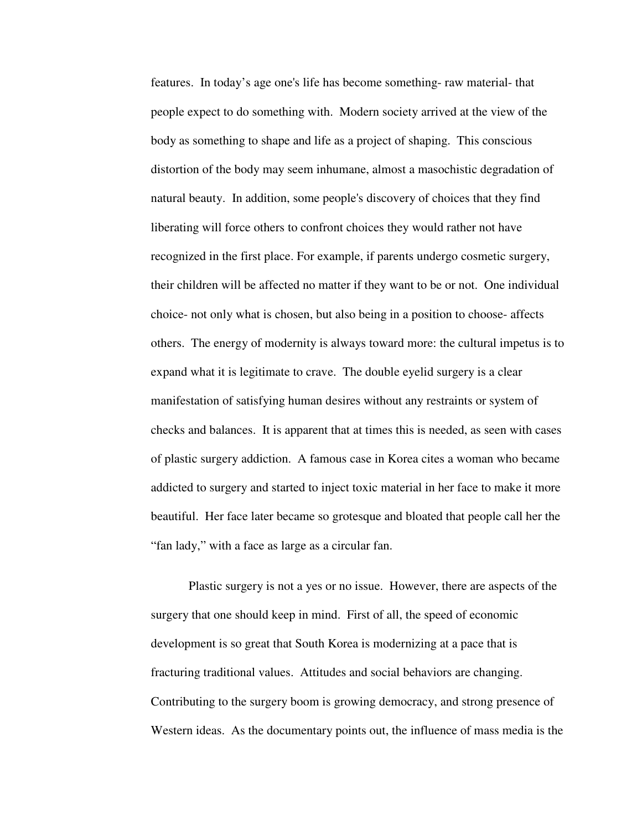features. In today's age one's life has become something- raw material- that people expect to do something with. Modern society arrived at the view of the body as something to shape and life as a project of shaping. This conscious distortion of the body may seem inhumane, almost a masochistic degradation of natural beauty. In addition, some people's discovery of choices that they find liberating will force others to confront choices they would rather not have recognized in the first place. For example, if parents undergo cosmetic surgery, their children will be affected no matter if they want to be or not. One individual choice- not only what is chosen, but also being in a position to choose- affects others. The energy of modernity is always toward more: the cultural impetus is to expand what it is legitimate to crave. The double eyelid surgery is a clear manifestation of satisfying human desires without any restraints or system of checks and balances. It is apparent that at times this is needed, as seen with cases of plastic surgery addiction. A famous case in Korea cites a woman who became addicted to surgery and started to inject toxic material in her face to make it more beautiful. Her face later became so grotesque and bloated that people call her the "fan lady," with a face as large as a circular fan.

 Plastic surgery is not a yes or no issue. However, there are aspects of the surgery that one should keep in mind. First of all, the speed of economic development is so great that South Korea is modernizing at a pace that is fracturing traditional values. Attitudes and social behaviors are changing. Contributing to the surgery boom is growing democracy, and strong presence of Western ideas. As the documentary points out, the influence of mass media is the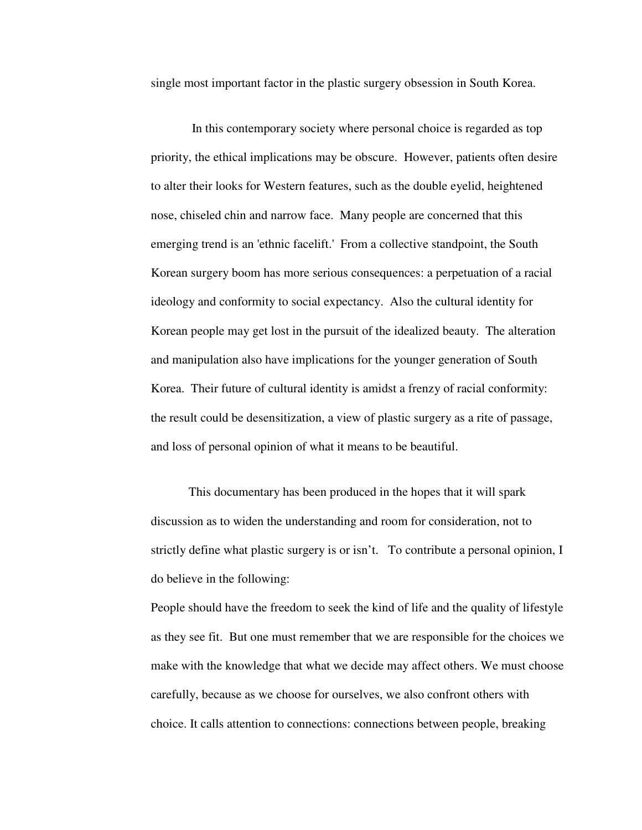single most important factor in the plastic surgery obsession in South Korea.

 In this contemporary society where personal choice is regarded as top priority, the ethical implications may be obscure. However, patients often desire to alter their looks for Western features, such as the double eyelid, heightened nose, chiseled chin and narrow face. Many people are concerned that this emerging trend is an 'ethnic facelift.' From a collective standpoint, the South Korean surgery boom has more serious consequences: a perpetuation of a racial ideology and conformity to social expectancy. Also the cultural identity for Korean people may get lost in the pursuit of the idealized beauty. The alteration and manipulation also have implications for the younger generation of South Korea. Their future of cultural identity is amidst a frenzy of racial conformity: the result could be desensitization, a view of plastic surgery as a rite of passage, and loss of personal opinion of what it means to be beautiful.

This documentary has been produced in the hopes that it will spark discussion as to widen the understanding and room for consideration, not to strictly define what plastic surgery is or isn't. To contribute a personal opinion, I do believe in the following:

People should have the freedom to seek the kind of life and the quality of lifestyle as they see fit. But one must remember that we are responsible for the choices we make with the knowledge that what we decide may affect others. We must choose carefully, because as we choose for ourselves, we also confront others with choice. It calls attention to connections: connections between people, breaking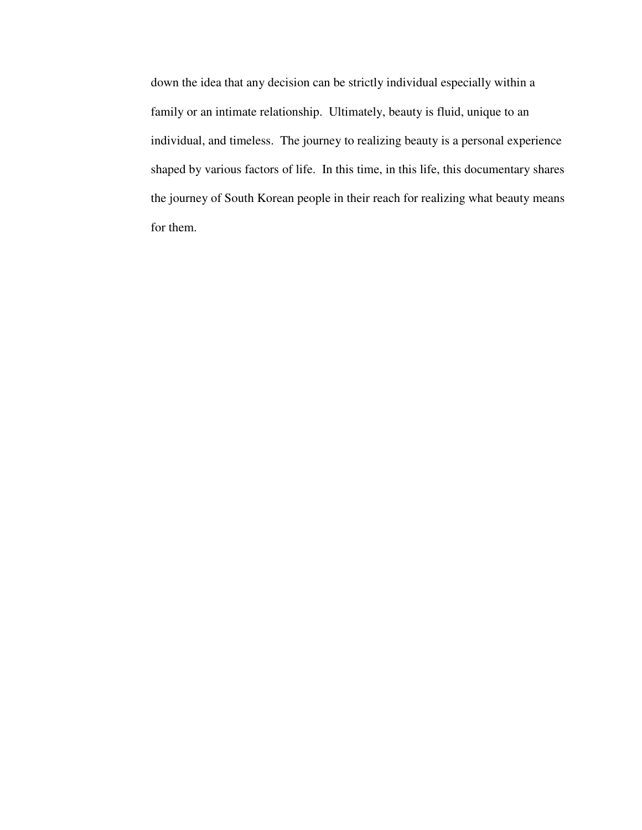down the idea that any decision can be strictly individual especially within a family or an intimate relationship. Ultimately, beauty is fluid, unique to an individual, and timeless. The journey to realizing beauty is a personal experience shaped by various factors of life. In this time, in this life, this documentary shares the journey of South Korean people in their reach for realizing what beauty means for them.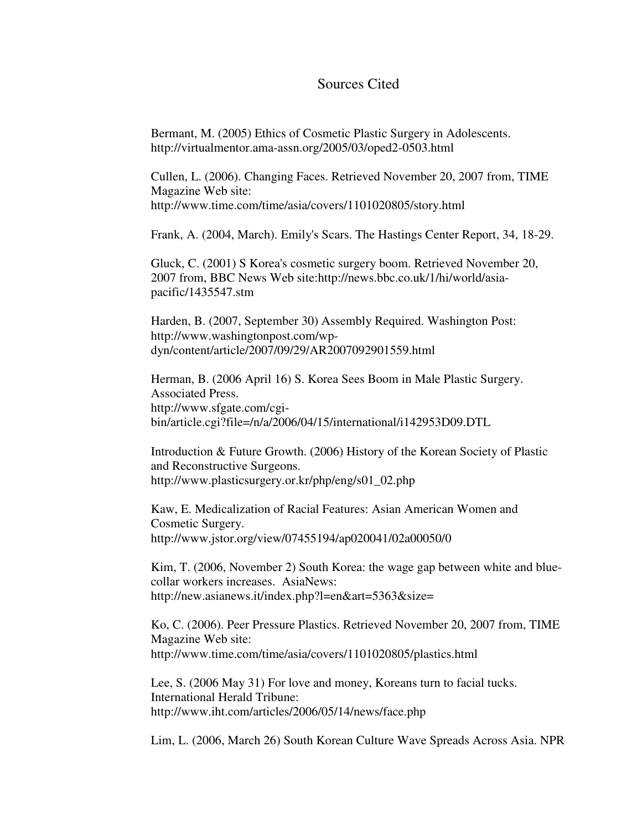#### Sources Cited

Bermant, M. (2005) Ethics of Cosmetic Plastic Surgery in Adolescents. http://virtualmentor.ama-assn.org/2005/03/oped2-0503.html

Cullen, L. (2006). Changing Faces. Retrieved November 20, 2007 from, TIME Magazine Web site: http://www.time.com/time/asia/covers/1101020805/story.html

Frank, A. (2004, March). Emily's Scars. The Hastings Center Report, 34, 18-29.

Gluck, C. (2001) S Korea's cosmetic surgery boom. Retrieved November 20, 2007 from, BBC News Web site:http://news.bbc.co.uk/1/hi/world/asiapacific/1435547.stm

Harden, B. (2007, September 30) Assembly Required. Washington Post: http://www.washingtonpost.com/wpdyn/content/article/2007/09/29/AR2007092901559.html

Herman, B. (2006 April 16) S. Korea Sees Boom in Male Plastic Surgery. Associated Press. http://www.sfgate.com/cgibin/article.cgi?file=/n/a/2006/04/15/international/i142953D09.DTL

Introduction & Future Growth. (2006) History of the Korean Society of Plastic and Reconstructive Surgeons. http://www.plasticsurgery.or.kr/php/eng/s01\_02.php

Kaw, E. Medicalization of Racial Features: Asian American Women and Cosmetic Surgery. http://www.jstor.org/view/07455194/ap020041/02a00050/0

Kim, T. (2006, November 2) South Korea: the wage gap between white and bluecollar workers increases. AsiaNews: http://new.asianews.it/index.php?l=en&art=5363&size=

Ko, C. (2006). Peer Pressure Plastics. Retrieved November 20, 2007 from, TIME Magazine Web site: http://www.time.com/time/asia/covers/1101020805/plastics.html

Lee, S. (2006 May 31) For love and money, Koreans turn to facial tucks. International Herald Tribune: http://www.iht.com/articles/2006/05/14/news/face.php

Lim, L. (2006, March 26) South Korean Culture Wave Spreads Across Asia. NPR